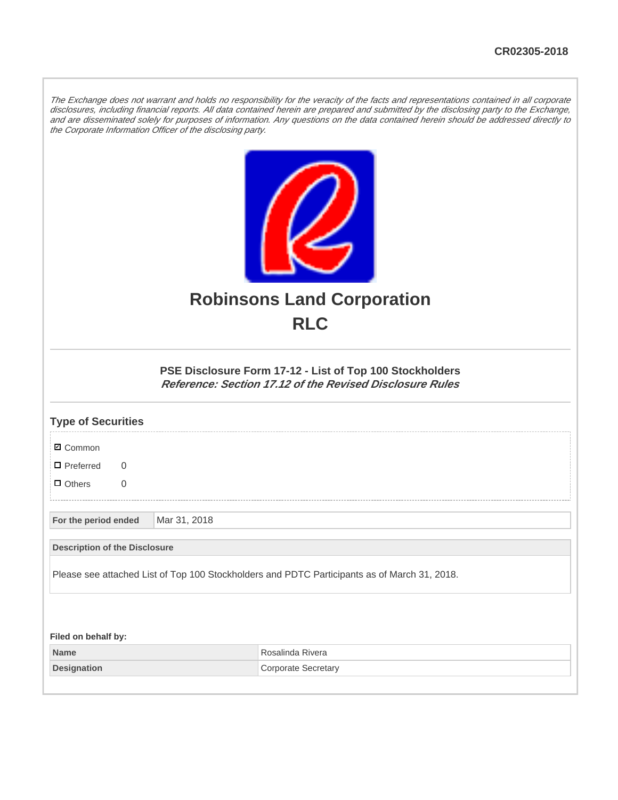The Exchange does not warrant and holds no responsibility for the veracity of the facts and representations contained in all corporate disclosures, including financial reports. All data contained herein are prepared and submitted by the disclosing party to the Exchange, and are disseminated solely for purposes of information. Any questions on the data contained herein should be addressed directly to the Corporate Information Officer of the disclosing party.



## **Robinsons Land Corporation RLC**

## **PSE Disclosure Form 17-12 - List of Top 100 Stockholders Reference: Section 17.12 of the Revised Disclosure Rules**

| <b>Type of Securities</b>                                                                    |  |              |                            |  |  |
|----------------------------------------------------------------------------------------------|--|--------------|----------------------------|--|--|
| <b>Ø</b> Common                                                                              |  |              |                            |  |  |
| $\Box$ Preferred<br>$\Omega$                                                                 |  |              |                            |  |  |
| $\Box$ Others<br>$\overline{0}$                                                              |  |              |                            |  |  |
| For the period ended                                                                         |  | Mar 31, 2018 |                            |  |  |
| <b>Description of the Disclosure</b>                                                         |  |              |                            |  |  |
| Please see attached List of Top 100 Stockholders and PDTC Participants as of March 31, 2018. |  |              |                            |  |  |
|                                                                                              |  |              |                            |  |  |
| Filed on behalf by:                                                                          |  |              |                            |  |  |
| <b>Name</b>                                                                                  |  |              | Rosalinda Rivera           |  |  |
| <b>Designation</b>                                                                           |  |              | <b>Corporate Secretary</b> |  |  |
|                                                                                              |  |              |                            |  |  |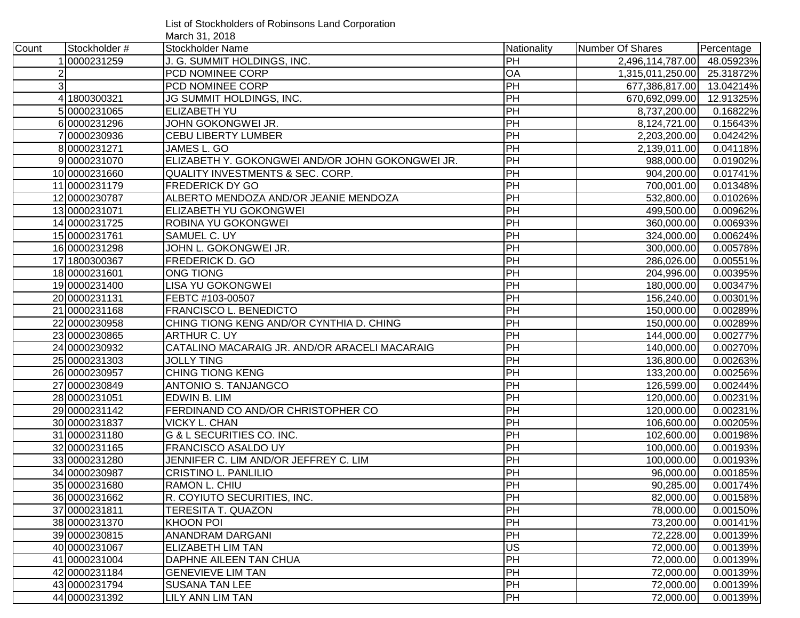List of Stockholders of Robinsons Land Corporation March 31, 2018

| Count          | Stockholder # | .<br>Stockholder Name                            | Nationality     | Number Of Shares           | Percentage |
|----------------|---------------|--------------------------------------------------|-----------------|----------------------------|------------|
|                | 0000231259    | J. G. SUMMIT HOLDINGS, INC.                      | PH              | 2,496,114,787.00           | 48.05923%  |
|                |               | PCD NOMINEE CORP                                 | OA              | 1,315,011,250.00 25.31872% |            |
| 3 <sup>1</sup> |               | PCD NOMINEE CORP                                 | PH              | 677,386,817.00 13.04214%   |            |
|                | 4 1800300321  | JG SUMMIT HOLDINGS, INC.                         | PH              | 670,692,099.00             | 12.91325%  |
|                | 50000231065   | ELIZABETH YU                                     | PH              | 8,737,200.00               | 0.16822%   |
|                | 60000231296   | JOHN GOKONGWEI JR.                               | PH              | 8,124,721.00               | 0.15643%   |
|                | 70000230936   | <b>CEBU LIBERTY LUMBER</b>                       | PH              | 2,203,200.00               | 0.04242%   |
|                | 80000231271   | JAMES L. GO                                      | PH              | 2,139,011.00               | 0.04118%   |
|                | 90000231070   | ELIZABETH Y. GOKONGWEI AND/OR JOHN GOKONGWEI JR. | PH              | 988,000.00                 | 0.01902%   |
|                | 100000231660  | <b>QUALITY INVESTMENTS &amp; SEC. CORP.</b>      | PH              | 904,200.00                 | 0.01741%   |
|                | 11 0000231179 | <b>FREDERICK DY GO</b>                           | PH              | 700,001.00                 | 0.01348%   |
|                | 12 0000230787 | ALBERTO MENDOZA AND/OR JEANIE MENDOZA            | PH              | 532,800.00                 | 0.01026%   |
|                | 130000231071  | ELIZABETH YU GOKONGWEI                           | PH              | 499,500.00                 | 0.00962%   |
|                | 14 0000231725 | ROBINA YU GOKONGWEI                              | $\overline{PH}$ | 360,000.00                 | 0.00693%   |
|                | 15 0000231761 | SAMUEL C. UY                                     | PH              | 324,000.00                 | 0.00624%   |
|                | 16 0000231298 | JOHN L. GOKONGWEI JR.                            | PH              | 300,000.00                 | 0.00578%   |
|                | 17 1800300367 | FREDERICK D. GO                                  | PH              | 286,026.00                 | 0.00551%   |
|                | 180000231601  | <b>ONG TIONG</b>                                 | PH              | 204,996.00                 | 0.00395%   |
|                | 190000231400  | LISA YU GOKONGWEI                                | PH              | 180,000.00                 | 0.00347%   |
|                | 20 0000231131 | FEBTC #103-00507                                 | PH              | 156,240.00                 | 0.00301%   |
|                | 210000231168  | FRANCISCO L. BENEDICTO                           | <b>PH</b>       | 150,000.00                 | 0.00289%   |
|                | 22 0000230958 | CHING TIONG KENG AND/OR CYNTHIA D. CHING         | $\overline{PH}$ | 150,000.00                 | 0.00289%   |
|                | 230000230865  | <b>ARTHUR C. UY</b>                              | $\overline{PH}$ | 144,000.00                 | 0.00277%   |
|                | 24 0000230932 | CATALINO MACARAIG JR. AND/OR ARACELI MACARAIG    | $\overline{PH}$ | 140,000.00                 | 0.00270%   |
|                | 25 0000231303 | <b>JOLLY TING</b>                                | PH              | 136,800.00                 | 0.00263%   |
|                | 26 0000230957 | <b>CHING TIONG KENG</b>                          | PH              | 133,200.00                 | 0.00256%   |
|                | 27 0000230849 | ANTONIO S. TANJANGCO                             | PH              | 126,599.00                 | 0.00244%   |
|                | 28 0000231051 | EDWIN B. LIM                                     | PH              | 120,000.00                 | 0.00231%   |
|                | 29 0000231142 | FERDINAND CO AND/OR CHRISTOPHER CO               | PH              | 120,000.00                 | 0.00231%   |
|                | 30 0000231837 | <b>VICKY L. CHAN</b>                             | $\overline{PH}$ | 106,600.00                 | 0.00205%   |
|                | 31 0000231180 | <b>G &amp; L SECURITIES CO. INC.</b>             | PH              | 102,600.00                 | 0.00198%   |
|                | 32 0000231165 | FRANCISCO ASALDO UY                              | PH              | 100,000.00                 | 0.00193%   |
|                | 330000231280  | JENNIFER C. LIM AND/OR JEFFREY C. LIM            | PH              | 100,000.00                 | 0.00193%   |
|                | 34 0000230987 | CRISTINO L. PANLILIO                             | PH              | 96,000.00                  | 0.00185%   |
|                | 35 0000231680 | RAMON L. CHIU                                    | PH              | 90,285.00                  | 0.00174%   |
|                | 36 0000231662 | R. COYIUTO SECURITIES, INC.                      | <b>PH</b>       | 82,000.00                  | 0.00158%   |
|                | 37 0000231811 | <b>TERESITA T. QUAZON</b>                        | PH              | 78,000.00                  | 0.00150%   |
|                | 38 0000231370 | <b>KHOON POI</b>                                 | PH              | 73,200.00                  | 0.00141%   |
|                | 39 0000230815 | <b>ANANDRAM DARGANI</b>                          | PH              | 72,228.00                  | 0.00139%   |
|                | 40 0000231067 | <b>ELIZABETH LIM TAN</b>                         | US              | 72,000.00                  | 0.00139%   |
|                | 41 0000231004 | DAPHNE AILEEN TAN CHUA                           | PH              | 72,000.00                  | 0.00139%   |
|                | 42 0000231184 | <b>GENEVIEVE LIM TAN</b>                         | PH              | 72,000.00                  | 0.00139%   |
|                | 43 0000231794 | <b>SUSANA TAN LEE</b>                            | PH              | 72,000.00                  | 0.00139%   |
|                | 44 0000231392 | LILY ANN LIM TAN                                 | <b>PH</b>       | 72,000.00                  | 0.00139%   |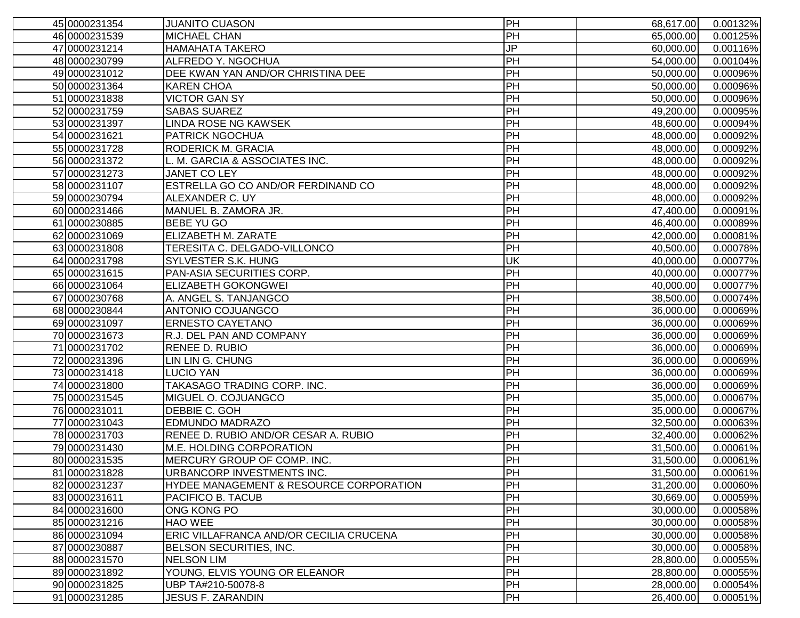| 45 0000231354 | <b>JUANITO CUASON</b>                              | PH              | 68,617.00 | 0.00132%               |
|---------------|----------------------------------------------------|-----------------|-----------|------------------------|
| 46 0000231539 | <b>MICHAEL CHAN</b>                                | PH              | 65,000.00 | 0.00125%               |
| 47 0000231214 | <b>HAMAHATA TAKERO</b>                             | JP              | 60,000.00 | 0.00116%               |
| 48 0000230799 | ALFREDO Y. NGOCHUA                                 | PH              | 54,000.00 | 0.00104%               |
| 49 0000231012 | DEE KWAN YAN AND/OR CHRISTINA DEE                  | PH              | 50,000.00 | 0.00096%               |
| 50 0000231364 | <b>KAREN CHOA</b>                                  | PH              | 50,000.00 | 0.00096%               |
| 51 0000231838 | <b>VICTOR GAN SY</b>                               | PH              | 50,000.00 | 0.00096%               |
| 52 0000231759 | <b>SABAS SUAREZ</b>                                | PH              | 49,200.00 | 0.00095%               |
| 530000231397  | <b>LINDA ROSE NG KAWSEK</b>                        | PH              | 48,600.00 | 0.00094%               |
| 54 0000231621 | <b>PATRICK NGOCHUA</b>                             | PH              | 48,000.00 | 0.00092%               |
| 55 0000231728 | RODERICK M. GRACIA                                 | PH              | 48,000.00 | 0.00092%               |
| 56 0000231372 | M. GARCIA & ASSOCIATES INC.                        | PH              | 48,000.00 | 0.00092%               |
| 57 0000231273 | <b>JANET CO LEY</b>                                | PH              | 48,000.00 | 0.00092%               |
| 58 0000231107 | ESTRELLA GO CO AND/OR FERDINAND CO                 | PH              | 48,000.00 | 0.00092%               |
| 59 0000230794 | ALEXANDER C. UY                                    | PH              | 48,000.00 | 0.00092%               |
| 60 0000231466 | MANUEL B. ZAMORA JR.                               | PH              | 47,400.00 | 0.00091%               |
| 61 0000230885 | <b>BEBE YU GO</b>                                  | PH              | 46,400.00 | 0.00089%               |
| 62 0000231069 | ELIZABETH M. ZARATE                                | PH              | 42,000.00 | 0.00081%               |
| 63 0000231808 | TERESITA C. DELGADO-VILLONCO                       | PH              | 40,500.00 | 0.00078%               |
| 64 0000231798 | <b>SYLVESTER S.K. HUNG</b>                         | UK              | 40,000.00 | 0.00077%               |
| 65 0000231615 | PAN-ASIA SECURITIES CORP.                          | $\overline{PH}$ | 40,000.00 | 0.00077%               |
| 66 0000231064 | <b>ELIZABETH GOKONGWEI</b>                         | PH              | 40,000.00 | 0.00077%               |
| 67 0000230768 | A. ANGEL S. TANJANGCO                              | PH              | 38,500.00 | 0.00074%               |
| 68 0000230844 | ANTONIO COJUANGCO                                  | PH              | 36,000.00 | 0.00069%               |
| 69 0000231097 | <b>ERNESTO CAYETANO</b>                            | PH              | 36,000.00 | 0.00069%               |
| 70 0000231673 | R.J. DEL PAN AND COMPANY                           | PH              | 36,000.00 | 0.00069%               |
| 71 0000231702 | <b>RENEE D. RUBIO</b>                              | <b>PH</b>       | 36,000.00 | 0.00069%               |
| 72 0000231396 | LIN LIN G. CHUNG                                   | $\overline{PH}$ | 36,000.00 | 0.00069%               |
| 73 0000231418 | LUCIO YAN                                          | <b>PH</b>       | 36,000.00 | 0.00069%               |
| 74 0000231800 | TAKASAGO TRADING CORP. INC.                        | PH              | 36,000.00 | 0.00069%               |
| 75 0000231545 | MIGUEL O. COJUANGCO                                | PH              | 35,000.00 | 0.00067%               |
| 76 0000231011 | DEBBIE C. GOH                                      | PH              | 35,000.00 | 0.00067%               |
| 77 0000231043 | <b>EDMUNDO MADRAZO</b>                             | PH              | 32,500.00 | 0.00063%               |
| 78 0000231703 | RENEE D. RUBIO AND/OR CESAR A. RUBIO               | PH              | 32,400.00 | 0.00062%               |
| 79 0000231430 | <b>M.E. HOLDING CORPORATION</b>                    | PH              | 31,500.00 | 0.00061%               |
| 80 0000231535 | MERCURY GROUP OF COMP. INC.                        | PH              | 31,500.00 | 0.00061%               |
| 81 0000231828 | URBANCORP INVESTMENTS INC.                         | <b>IPH</b>      | 31,500.00 | 0.00061%               |
| 82 0000231237 | <b>HYDEE MANAGEMENT &amp; RESOURCE CORPORATION</b> | PH              | 31,200.00 | 0.00060%               |
| 830000231611  | <b>PACIFICO B. TACUB</b>                           | $\overline{H}$  | 30,669.00 | 0.00059%               |
| 84 0000231600 | ONG KONG PO                                        | PH              | 30,000.00 | $\overline{0.00058\%}$ |
| 85 0000231216 | <b>HAO WEE</b>                                     | PH              | 30,000.00 | 0.00058%               |
| 86 0000231094 | ERIC VILLAFRANCA AND/OR CECILIA CRUCENA            | PH              | 30,000.00 | 0.00058%               |
| 87 0000230887 | BELSON SECURITIES, INC.                            | PH              | 30,000.00 | 0.00058%               |
| 88 0000231570 | NELSON LIM                                         | PH              | 28,800.00 | 0.00055%               |
| 89 0000231892 | YOUNG, ELVIS YOUNG OR ELEANOR                      | PH              | 28,800.00 | 0.00055%               |
| 90 0000231825 | UBP TA#210-50078-8                                 | PH              | 28,000.00 | 0.00054%               |
| 91 0000231285 | <b>JESUS F. ZARANDIN</b>                           | PH              | 26,400.00 | 0.00051%               |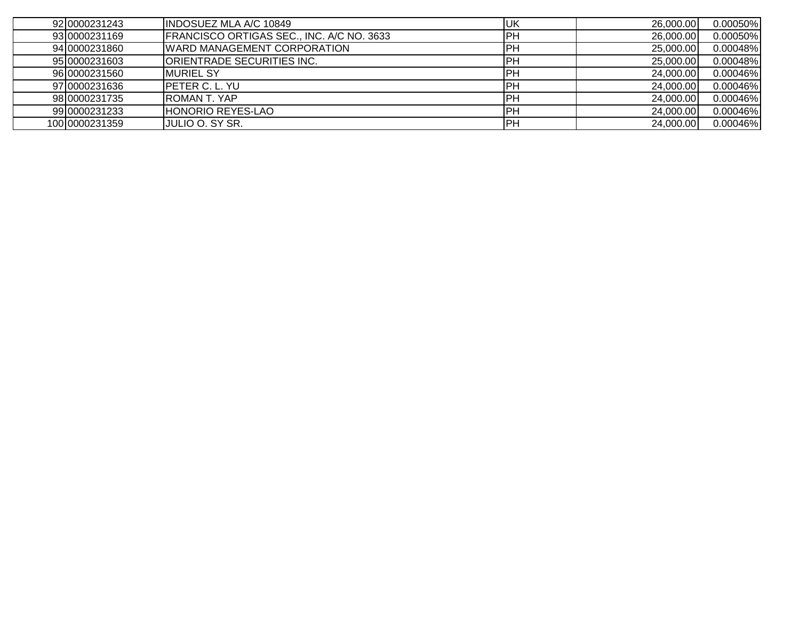| 92 0000231243  | <b>IINDOSUEZ MLA A/C 10849</b>            | <b>IUK</b> | 26,000.00 | 0.00050% |
|----------------|-------------------------------------------|------------|-----------|----------|
| 93 0000231169  | FRANCISCO ORTIGAS SEC., INC. A/C NO. 3633 | IPH        | 26,000.00 | 0.00050% |
| 94 0000231860  | <b>WARD MANAGEMENT CORPORATION</b>        | <b>IPH</b> | 25,000.00 | 0.00048% |
| 95 0000231603  | ORIENTRADE SECURITIES INC.                | PH         | 25,000.00 | 0.00048% |
| 96 0000231560  | <b>IMURIEL SY</b>                         | IPH        | 24,000.00 | 0.00046% |
| 97 0000231636  | <b>IPETER C. L. YU</b>                    | IPH        | 24,000.00 | 0.00046% |
| 98 0000231735  | IROMAN T. YAP                             | IPH        | 24,000.00 | 0.00046% |
| 99 0000231233  | <b>HONORIO REYES-LAO</b>                  | IPH        | 24,000.00 | 0.00046% |
| 100 0000231359 | JULIO O. SY SR.                           | PH         | 24,000.00 | 0.00046% |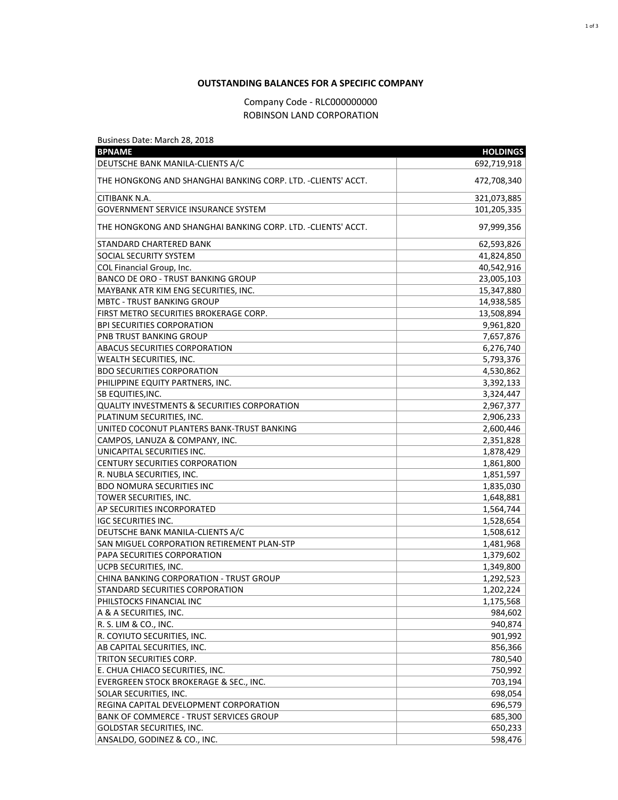## **OUTSTANDING BALANCES FOR A SPECIFIC COMPANY**

## Company Code - RLC000000000 ROBINSON LAND CORPORATION

Business Date: March 28, 2018

| <b>BPNAME</b>                                                | <b>HOLDINGS</b> |
|--------------------------------------------------------------|-----------------|
| DEUTSCHE BANK MANILA-CLIENTS A/C                             | 692,719,918     |
| THE HONGKONG AND SHANGHAI BANKING CORP. LTD. -CLIENTS' ACCT. | 472,708,340     |
| CITIBANK N.A.                                                | 321,073,885     |
| <b>GOVERNMENT SERVICE INSURANCE SYSTEM</b>                   | 101,205,335     |
| THE HONGKONG AND SHANGHAI BANKING CORP. LTD. -CLIENTS' ACCT. | 97,999,356      |
| STANDARD CHARTERED BANK                                      | 62,593,826      |
| SOCIAL SECURITY SYSTEM                                       | 41,824,850      |
| COL Financial Group, Inc.                                    | 40,542,916      |
| <b>BANCO DE ORO - TRUST BANKING GROUP</b>                    | 23,005,103      |
| MAYBANK ATR KIM ENG SECURITIES, INC.                         | 15,347,880      |
| <b>MBTC - TRUST BANKING GROUP</b>                            | 14,938,585      |
| FIRST METRO SECURITIES BROKERAGE CORP.                       | 13,508,894      |
| <b>BPI SECURITIES CORPORATION</b>                            | 9,961,820       |
| PNB TRUST BANKING GROUP                                      | 7,657,876       |
| ABACUS SECURITIES CORPORATION                                | 6,276,740       |
| WEALTH SECURITIES, INC.                                      | 5,793,376       |
| <b>BDO SECURITIES CORPORATION</b>                            | 4,530,862       |
| PHILIPPINE EQUITY PARTNERS, INC.                             | 3,392,133       |
| SB EQUITIES, INC.                                            | 3,324,447       |
| <b>QUALITY INVESTMENTS &amp; SECURITIES CORPORATION</b>      | 2,967,377       |
| PLATINUM SECURITIES, INC.                                    | 2,906,233       |
| UNITED COCONUT PLANTERS BANK-TRUST BANKING                   | 2,600,446       |
| CAMPOS, LANUZA & COMPANY, INC.                               | 2,351,828       |
| UNICAPITAL SECURITIES INC.                                   | 1,878,429       |
| <b>CENTURY SECURITIES CORPORATION</b>                        | 1,861,800       |
| R. NUBLA SECURITIES, INC.                                    | 1,851,597       |
| <b>BDO NOMURA SECURITIES INC</b>                             | 1,835,030       |
| TOWER SECURITIES, INC.                                       | 1,648,881       |
| AP SECURITIES INCORPORATED                                   | 1,564,744       |
| <b>IGC SECURITIES INC.</b>                                   | 1,528,654       |
| DEUTSCHE BANK MANILA-CLIENTS A/C                             | 1,508,612       |
| SAN MIGUEL CORPORATION RETIREMENT PLAN-STP                   | 1,481,968       |
| PAPA SECURITIES CORPORATION                                  | 1,379,602       |
| UCPB SECURITIES, INC.                                        | 1,349,800       |
| CHINA BANKING CORPORATION - TRUST GROUP                      | 1,292,523       |
| STANDARD SECURITIES CORPORATION                              | 1,202,224       |
| PHILSTOCKS FINANCIAL INC                                     | 1,175,568       |
| A & A SECURITIES, INC.                                       | 984,602         |
| R. S. LIM & CO., INC.                                        | 940,874         |
| R. COYIUTO SECURITIES, INC.                                  | 901,992         |
| AB CAPITAL SECURITIES, INC.                                  | 856,366         |
| TRITON SECURITIES CORP.                                      | 780,540         |
| E. CHUA CHIACO SECURITIES, INC.                              | 750,992         |
| EVERGREEN STOCK BROKERAGE & SEC., INC.                       | 703,194         |
| SOLAR SECURITIES, INC.                                       | 698,054         |
| REGINA CAPITAL DEVELOPMENT CORPORATION                       | 696,579         |
| <b>BANK OF COMMERCE - TRUST SERVICES GROUP</b>               | 685,300         |
| GOLDSTAR SECURITIES, INC.                                    | 650,233         |
| ANSALDO, GODINEZ & CO., INC.                                 | 598,476         |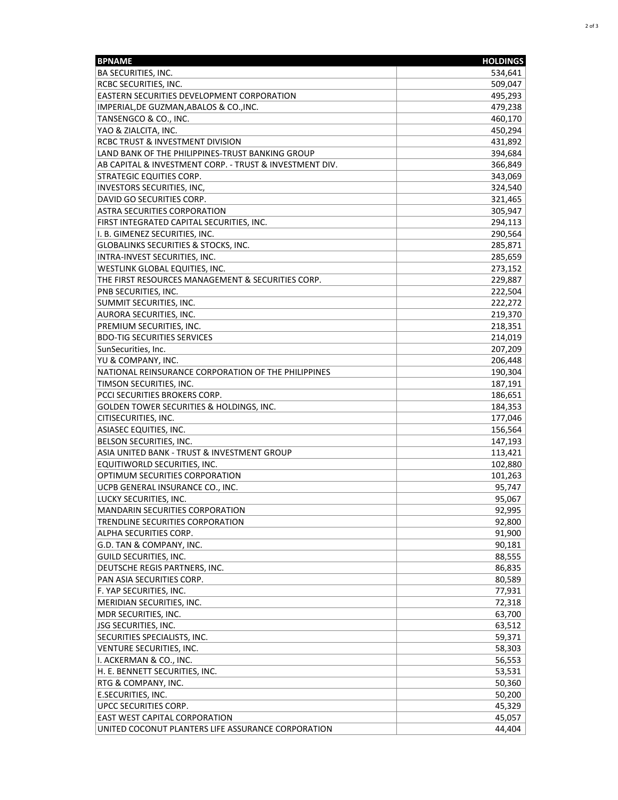| BA SECURITIES, INC.<br>534,641<br>509,047<br>RCBC SECURITIES, INC.<br>495,293<br>EASTERN SECURITIES DEVELOPMENT CORPORATION<br>IMPERIAL, DE GUZMAN, ABALOS & CO., INC.<br>479,238<br>TANSENGCO & CO., INC.<br>460,170<br>YAO & ZIALCITA, INC.<br>450,294<br>RCBC TRUST & INVESTMENT DIVISION<br>431,892<br>LAND BANK OF THE PHILIPPINES-TRUST BANKING GROUP<br>394,684<br>AB CAPITAL & INVESTMENT CORP. - TRUST & INVESTMENT DIV.<br>366,849<br><b>STRATEGIC EQUITIES CORP.</b><br>343,069<br>INVESTORS SECURITIES, INC,<br>324,540<br>321,465<br>DAVID GO SECURITIES CORP.<br>305,947<br>ASTRA SECURITIES CORPORATION<br>FIRST INTEGRATED CAPITAL SECURITIES, INC.<br>294,113<br>I. B. GIMENEZ SECURITIES, INC.<br>290,564<br>GLOBALINKS SECURITIES & STOCKS, INC.<br>285,871<br>INTRA-INVEST SECURITIES, INC.<br>285,659<br>WESTLINK GLOBAL EQUITIES, INC.<br>273,152<br>THE FIRST RESOURCES MANAGEMENT & SECURITIES CORP.<br>229,887<br>222,504<br>PNB SECURITIES, INC.<br>SUMMIT SECURITIES, INC.<br>222,272<br>AURORA SECURITIES, INC.<br>219,370<br>PREMIUM SECURITIES, INC.<br>218,351<br><b>BDO-TIG SECURITIES SERVICES</b><br>214,019<br>SunSecurities, Inc.<br>207,209<br>YU & COMPANY, INC.<br>206,448<br>NATIONAL REINSURANCE CORPORATION OF THE PHILIPPINES<br>190,304<br>TIMSON SECURITIES, INC.<br>187,191<br>PCCI SECURITIES BROKERS CORP.<br>186,651<br><b>GOLDEN TOWER SECURITIES &amp; HOLDINGS, INC.</b><br>184,353<br>177,046<br>CITISECURITIES, INC.<br>ASIASEC EQUITIES, INC.<br>156,564<br>BELSON SECURITIES, INC.<br>147,193<br>ASIA UNITED BANK - TRUST & INVESTMENT GROUP<br>113,421<br>EQUITIWORLD SECURITIES, INC.<br>102,880<br>OPTIMUM SECURITIES CORPORATION<br>101,263<br>UCPB GENERAL INSURANCE CO., INC.<br>95,747<br>LUCKY SECURITIES, INC.<br>95,067<br>92,995<br>MANDARIN SECURITIES CORPORATION<br>92,800<br>TRENDLINE SECURITIES CORPORATION<br>91,900<br>ALPHA SECURITIES CORP.<br>G.D. TAN & COMPANY, INC.<br>90,181<br>88,555<br>GUILD SECURITIES, INC.<br>86,835<br>DEUTSCHE REGIS PARTNERS, INC.<br>80,589<br>PAN ASIA SECURITIES CORP.<br>77,931<br>F. YAP SECURITIES, INC.<br>MERIDIAN SECURITIES, INC.<br>72,318<br>MDR SECURITIES, INC.<br>63,700<br>63,512<br>JSG SECURITIES, INC.<br>SECURITIES SPECIALISTS, INC.<br>59,371<br>58,303<br>VENTURE SECURITIES, INC.<br>I. ACKERMAN & CO., INC.<br>56,553<br>H. E. BENNETT SECURITIES, INC.<br>53,531<br>50,360<br>RTG & COMPANY, INC.<br>50,200<br>E.SECURITIES, INC.<br>UPCC SECURITIES CORP.<br>45,329<br><b>EAST WEST CAPITAL CORPORATION</b><br>45,057<br>UNITED COCONUT PLANTERS LIFE ASSURANCE CORPORATION<br>44,404 | <b>BPNAME</b> | <b>HOLDINGS</b> |
|-----------------------------------------------------------------------------------------------------------------------------------------------------------------------------------------------------------------------------------------------------------------------------------------------------------------------------------------------------------------------------------------------------------------------------------------------------------------------------------------------------------------------------------------------------------------------------------------------------------------------------------------------------------------------------------------------------------------------------------------------------------------------------------------------------------------------------------------------------------------------------------------------------------------------------------------------------------------------------------------------------------------------------------------------------------------------------------------------------------------------------------------------------------------------------------------------------------------------------------------------------------------------------------------------------------------------------------------------------------------------------------------------------------------------------------------------------------------------------------------------------------------------------------------------------------------------------------------------------------------------------------------------------------------------------------------------------------------------------------------------------------------------------------------------------------------------------------------------------------------------------------------------------------------------------------------------------------------------------------------------------------------------------------------------------------------------------------------------------------------------------------------------------------------------------------------------------------------------------------------------------------------------------------------------------------------------------------------------------------------------------------------------------------------------------------------------------------------------------------------------------------------------------------------------------------------------------------------------------------------------------|---------------|-----------------|
|                                                                                                                                                                                                                                                                                                                                                                                                                                                                                                                                                                                                                                                                                                                                                                                                                                                                                                                                                                                                                                                                                                                                                                                                                                                                                                                                                                                                                                                                                                                                                                                                                                                                                                                                                                                                                                                                                                                                                                                                                                                                                                                                                                                                                                                                                                                                                                                                                                                                                                                                                                                                                             |               |                 |
|                                                                                                                                                                                                                                                                                                                                                                                                                                                                                                                                                                                                                                                                                                                                                                                                                                                                                                                                                                                                                                                                                                                                                                                                                                                                                                                                                                                                                                                                                                                                                                                                                                                                                                                                                                                                                                                                                                                                                                                                                                                                                                                                                                                                                                                                                                                                                                                                                                                                                                                                                                                                                             |               |                 |
|                                                                                                                                                                                                                                                                                                                                                                                                                                                                                                                                                                                                                                                                                                                                                                                                                                                                                                                                                                                                                                                                                                                                                                                                                                                                                                                                                                                                                                                                                                                                                                                                                                                                                                                                                                                                                                                                                                                                                                                                                                                                                                                                                                                                                                                                                                                                                                                                                                                                                                                                                                                                                             |               |                 |
|                                                                                                                                                                                                                                                                                                                                                                                                                                                                                                                                                                                                                                                                                                                                                                                                                                                                                                                                                                                                                                                                                                                                                                                                                                                                                                                                                                                                                                                                                                                                                                                                                                                                                                                                                                                                                                                                                                                                                                                                                                                                                                                                                                                                                                                                                                                                                                                                                                                                                                                                                                                                                             |               |                 |
|                                                                                                                                                                                                                                                                                                                                                                                                                                                                                                                                                                                                                                                                                                                                                                                                                                                                                                                                                                                                                                                                                                                                                                                                                                                                                                                                                                                                                                                                                                                                                                                                                                                                                                                                                                                                                                                                                                                                                                                                                                                                                                                                                                                                                                                                                                                                                                                                                                                                                                                                                                                                                             |               |                 |
|                                                                                                                                                                                                                                                                                                                                                                                                                                                                                                                                                                                                                                                                                                                                                                                                                                                                                                                                                                                                                                                                                                                                                                                                                                                                                                                                                                                                                                                                                                                                                                                                                                                                                                                                                                                                                                                                                                                                                                                                                                                                                                                                                                                                                                                                                                                                                                                                                                                                                                                                                                                                                             |               |                 |
|                                                                                                                                                                                                                                                                                                                                                                                                                                                                                                                                                                                                                                                                                                                                                                                                                                                                                                                                                                                                                                                                                                                                                                                                                                                                                                                                                                                                                                                                                                                                                                                                                                                                                                                                                                                                                                                                                                                                                                                                                                                                                                                                                                                                                                                                                                                                                                                                                                                                                                                                                                                                                             |               |                 |
|                                                                                                                                                                                                                                                                                                                                                                                                                                                                                                                                                                                                                                                                                                                                                                                                                                                                                                                                                                                                                                                                                                                                                                                                                                                                                                                                                                                                                                                                                                                                                                                                                                                                                                                                                                                                                                                                                                                                                                                                                                                                                                                                                                                                                                                                                                                                                                                                                                                                                                                                                                                                                             |               |                 |
|                                                                                                                                                                                                                                                                                                                                                                                                                                                                                                                                                                                                                                                                                                                                                                                                                                                                                                                                                                                                                                                                                                                                                                                                                                                                                                                                                                                                                                                                                                                                                                                                                                                                                                                                                                                                                                                                                                                                                                                                                                                                                                                                                                                                                                                                                                                                                                                                                                                                                                                                                                                                                             |               |                 |
|                                                                                                                                                                                                                                                                                                                                                                                                                                                                                                                                                                                                                                                                                                                                                                                                                                                                                                                                                                                                                                                                                                                                                                                                                                                                                                                                                                                                                                                                                                                                                                                                                                                                                                                                                                                                                                                                                                                                                                                                                                                                                                                                                                                                                                                                                                                                                                                                                                                                                                                                                                                                                             |               |                 |
|                                                                                                                                                                                                                                                                                                                                                                                                                                                                                                                                                                                                                                                                                                                                                                                                                                                                                                                                                                                                                                                                                                                                                                                                                                                                                                                                                                                                                                                                                                                                                                                                                                                                                                                                                                                                                                                                                                                                                                                                                                                                                                                                                                                                                                                                                                                                                                                                                                                                                                                                                                                                                             |               |                 |
|                                                                                                                                                                                                                                                                                                                                                                                                                                                                                                                                                                                                                                                                                                                                                                                                                                                                                                                                                                                                                                                                                                                                                                                                                                                                                                                                                                                                                                                                                                                                                                                                                                                                                                                                                                                                                                                                                                                                                                                                                                                                                                                                                                                                                                                                                                                                                                                                                                                                                                                                                                                                                             |               |                 |
|                                                                                                                                                                                                                                                                                                                                                                                                                                                                                                                                                                                                                                                                                                                                                                                                                                                                                                                                                                                                                                                                                                                                                                                                                                                                                                                                                                                                                                                                                                                                                                                                                                                                                                                                                                                                                                                                                                                                                                                                                                                                                                                                                                                                                                                                                                                                                                                                                                                                                                                                                                                                                             |               |                 |
|                                                                                                                                                                                                                                                                                                                                                                                                                                                                                                                                                                                                                                                                                                                                                                                                                                                                                                                                                                                                                                                                                                                                                                                                                                                                                                                                                                                                                                                                                                                                                                                                                                                                                                                                                                                                                                                                                                                                                                                                                                                                                                                                                                                                                                                                                                                                                                                                                                                                                                                                                                                                                             |               |                 |
|                                                                                                                                                                                                                                                                                                                                                                                                                                                                                                                                                                                                                                                                                                                                                                                                                                                                                                                                                                                                                                                                                                                                                                                                                                                                                                                                                                                                                                                                                                                                                                                                                                                                                                                                                                                                                                                                                                                                                                                                                                                                                                                                                                                                                                                                                                                                                                                                                                                                                                                                                                                                                             |               |                 |
|                                                                                                                                                                                                                                                                                                                                                                                                                                                                                                                                                                                                                                                                                                                                                                                                                                                                                                                                                                                                                                                                                                                                                                                                                                                                                                                                                                                                                                                                                                                                                                                                                                                                                                                                                                                                                                                                                                                                                                                                                                                                                                                                                                                                                                                                                                                                                                                                                                                                                                                                                                                                                             |               |                 |
|                                                                                                                                                                                                                                                                                                                                                                                                                                                                                                                                                                                                                                                                                                                                                                                                                                                                                                                                                                                                                                                                                                                                                                                                                                                                                                                                                                                                                                                                                                                                                                                                                                                                                                                                                                                                                                                                                                                                                                                                                                                                                                                                                                                                                                                                                                                                                                                                                                                                                                                                                                                                                             |               |                 |
|                                                                                                                                                                                                                                                                                                                                                                                                                                                                                                                                                                                                                                                                                                                                                                                                                                                                                                                                                                                                                                                                                                                                                                                                                                                                                                                                                                                                                                                                                                                                                                                                                                                                                                                                                                                                                                                                                                                                                                                                                                                                                                                                                                                                                                                                                                                                                                                                                                                                                                                                                                                                                             |               |                 |
|                                                                                                                                                                                                                                                                                                                                                                                                                                                                                                                                                                                                                                                                                                                                                                                                                                                                                                                                                                                                                                                                                                                                                                                                                                                                                                                                                                                                                                                                                                                                                                                                                                                                                                                                                                                                                                                                                                                                                                                                                                                                                                                                                                                                                                                                                                                                                                                                                                                                                                                                                                                                                             |               |                 |
|                                                                                                                                                                                                                                                                                                                                                                                                                                                                                                                                                                                                                                                                                                                                                                                                                                                                                                                                                                                                                                                                                                                                                                                                                                                                                                                                                                                                                                                                                                                                                                                                                                                                                                                                                                                                                                                                                                                                                                                                                                                                                                                                                                                                                                                                                                                                                                                                                                                                                                                                                                                                                             |               |                 |
|                                                                                                                                                                                                                                                                                                                                                                                                                                                                                                                                                                                                                                                                                                                                                                                                                                                                                                                                                                                                                                                                                                                                                                                                                                                                                                                                                                                                                                                                                                                                                                                                                                                                                                                                                                                                                                                                                                                                                                                                                                                                                                                                                                                                                                                                                                                                                                                                                                                                                                                                                                                                                             |               |                 |
|                                                                                                                                                                                                                                                                                                                                                                                                                                                                                                                                                                                                                                                                                                                                                                                                                                                                                                                                                                                                                                                                                                                                                                                                                                                                                                                                                                                                                                                                                                                                                                                                                                                                                                                                                                                                                                                                                                                                                                                                                                                                                                                                                                                                                                                                                                                                                                                                                                                                                                                                                                                                                             |               |                 |
|                                                                                                                                                                                                                                                                                                                                                                                                                                                                                                                                                                                                                                                                                                                                                                                                                                                                                                                                                                                                                                                                                                                                                                                                                                                                                                                                                                                                                                                                                                                                                                                                                                                                                                                                                                                                                                                                                                                                                                                                                                                                                                                                                                                                                                                                                                                                                                                                                                                                                                                                                                                                                             |               |                 |
|                                                                                                                                                                                                                                                                                                                                                                                                                                                                                                                                                                                                                                                                                                                                                                                                                                                                                                                                                                                                                                                                                                                                                                                                                                                                                                                                                                                                                                                                                                                                                                                                                                                                                                                                                                                                                                                                                                                                                                                                                                                                                                                                                                                                                                                                                                                                                                                                                                                                                                                                                                                                                             |               |                 |
|                                                                                                                                                                                                                                                                                                                                                                                                                                                                                                                                                                                                                                                                                                                                                                                                                                                                                                                                                                                                                                                                                                                                                                                                                                                                                                                                                                                                                                                                                                                                                                                                                                                                                                                                                                                                                                                                                                                                                                                                                                                                                                                                                                                                                                                                                                                                                                                                                                                                                                                                                                                                                             |               |                 |
|                                                                                                                                                                                                                                                                                                                                                                                                                                                                                                                                                                                                                                                                                                                                                                                                                                                                                                                                                                                                                                                                                                                                                                                                                                                                                                                                                                                                                                                                                                                                                                                                                                                                                                                                                                                                                                                                                                                                                                                                                                                                                                                                                                                                                                                                                                                                                                                                                                                                                                                                                                                                                             |               |                 |
|                                                                                                                                                                                                                                                                                                                                                                                                                                                                                                                                                                                                                                                                                                                                                                                                                                                                                                                                                                                                                                                                                                                                                                                                                                                                                                                                                                                                                                                                                                                                                                                                                                                                                                                                                                                                                                                                                                                                                                                                                                                                                                                                                                                                                                                                                                                                                                                                                                                                                                                                                                                                                             |               |                 |
|                                                                                                                                                                                                                                                                                                                                                                                                                                                                                                                                                                                                                                                                                                                                                                                                                                                                                                                                                                                                                                                                                                                                                                                                                                                                                                                                                                                                                                                                                                                                                                                                                                                                                                                                                                                                                                                                                                                                                                                                                                                                                                                                                                                                                                                                                                                                                                                                                                                                                                                                                                                                                             |               |                 |
|                                                                                                                                                                                                                                                                                                                                                                                                                                                                                                                                                                                                                                                                                                                                                                                                                                                                                                                                                                                                                                                                                                                                                                                                                                                                                                                                                                                                                                                                                                                                                                                                                                                                                                                                                                                                                                                                                                                                                                                                                                                                                                                                                                                                                                                                                                                                                                                                                                                                                                                                                                                                                             |               |                 |
|                                                                                                                                                                                                                                                                                                                                                                                                                                                                                                                                                                                                                                                                                                                                                                                                                                                                                                                                                                                                                                                                                                                                                                                                                                                                                                                                                                                                                                                                                                                                                                                                                                                                                                                                                                                                                                                                                                                                                                                                                                                                                                                                                                                                                                                                                                                                                                                                                                                                                                                                                                                                                             |               |                 |
|                                                                                                                                                                                                                                                                                                                                                                                                                                                                                                                                                                                                                                                                                                                                                                                                                                                                                                                                                                                                                                                                                                                                                                                                                                                                                                                                                                                                                                                                                                                                                                                                                                                                                                                                                                                                                                                                                                                                                                                                                                                                                                                                                                                                                                                                                                                                                                                                                                                                                                                                                                                                                             |               |                 |
|                                                                                                                                                                                                                                                                                                                                                                                                                                                                                                                                                                                                                                                                                                                                                                                                                                                                                                                                                                                                                                                                                                                                                                                                                                                                                                                                                                                                                                                                                                                                                                                                                                                                                                                                                                                                                                                                                                                                                                                                                                                                                                                                                                                                                                                                                                                                                                                                                                                                                                                                                                                                                             |               |                 |
|                                                                                                                                                                                                                                                                                                                                                                                                                                                                                                                                                                                                                                                                                                                                                                                                                                                                                                                                                                                                                                                                                                                                                                                                                                                                                                                                                                                                                                                                                                                                                                                                                                                                                                                                                                                                                                                                                                                                                                                                                                                                                                                                                                                                                                                                                                                                                                                                                                                                                                                                                                                                                             |               |                 |
|                                                                                                                                                                                                                                                                                                                                                                                                                                                                                                                                                                                                                                                                                                                                                                                                                                                                                                                                                                                                                                                                                                                                                                                                                                                                                                                                                                                                                                                                                                                                                                                                                                                                                                                                                                                                                                                                                                                                                                                                                                                                                                                                                                                                                                                                                                                                                                                                                                                                                                                                                                                                                             |               |                 |
|                                                                                                                                                                                                                                                                                                                                                                                                                                                                                                                                                                                                                                                                                                                                                                                                                                                                                                                                                                                                                                                                                                                                                                                                                                                                                                                                                                                                                                                                                                                                                                                                                                                                                                                                                                                                                                                                                                                                                                                                                                                                                                                                                                                                                                                                                                                                                                                                                                                                                                                                                                                                                             |               |                 |
|                                                                                                                                                                                                                                                                                                                                                                                                                                                                                                                                                                                                                                                                                                                                                                                                                                                                                                                                                                                                                                                                                                                                                                                                                                                                                                                                                                                                                                                                                                                                                                                                                                                                                                                                                                                                                                                                                                                                                                                                                                                                                                                                                                                                                                                                                                                                                                                                                                                                                                                                                                                                                             |               |                 |
|                                                                                                                                                                                                                                                                                                                                                                                                                                                                                                                                                                                                                                                                                                                                                                                                                                                                                                                                                                                                                                                                                                                                                                                                                                                                                                                                                                                                                                                                                                                                                                                                                                                                                                                                                                                                                                                                                                                                                                                                                                                                                                                                                                                                                                                                                                                                                                                                                                                                                                                                                                                                                             |               |                 |
|                                                                                                                                                                                                                                                                                                                                                                                                                                                                                                                                                                                                                                                                                                                                                                                                                                                                                                                                                                                                                                                                                                                                                                                                                                                                                                                                                                                                                                                                                                                                                                                                                                                                                                                                                                                                                                                                                                                                                                                                                                                                                                                                                                                                                                                                                                                                                                                                                                                                                                                                                                                                                             |               |                 |
|                                                                                                                                                                                                                                                                                                                                                                                                                                                                                                                                                                                                                                                                                                                                                                                                                                                                                                                                                                                                                                                                                                                                                                                                                                                                                                                                                                                                                                                                                                                                                                                                                                                                                                                                                                                                                                                                                                                                                                                                                                                                                                                                                                                                                                                                                                                                                                                                                                                                                                                                                                                                                             |               |                 |
|                                                                                                                                                                                                                                                                                                                                                                                                                                                                                                                                                                                                                                                                                                                                                                                                                                                                                                                                                                                                                                                                                                                                                                                                                                                                                                                                                                                                                                                                                                                                                                                                                                                                                                                                                                                                                                                                                                                                                                                                                                                                                                                                                                                                                                                                                                                                                                                                                                                                                                                                                                                                                             |               |                 |
|                                                                                                                                                                                                                                                                                                                                                                                                                                                                                                                                                                                                                                                                                                                                                                                                                                                                                                                                                                                                                                                                                                                                                                                                                                                                                                                                                                                                                                                                                                                                                                                                                                                                                                                                                                                                                                                                                                                                                                                                                                                                                                                                                                                                                                                                                                                                                                                                                                                                                                                                                                                                                             |               |                 |
|                                                                                                                                                                                                                                                                                                                                                                                                                                                                                                                                                                                                                                                                                                                                                                                                                                                                                                                                                                                                                                                                                                                                                                                                                                                                                                                                                                                                                                                                                                                                                                                                                                                                                                                                                                                                                                                                                                                                                                                                                                                                                                                                                                                                                                                                                                                                                                                                                                                                                                                                                                                                                             |               |                 |
|                                                                                                                                                                                                                                                                                                                                                                                                                                                                                                                                                                                                                                                                                                                                                                                                                                                                                                                                                                                                                                                                                                                                                                                                                                                                                                                                                                                                                                                                                                                                                                                                                                                                                                                                                                                                                                                                                                                                                                                                                                                                                                                                                                                                                                                                                                                                                                                                                                                                                                                                                                                                                             |               |                 |
|                                                                                                                                                                                                                                                                                                                                                                                                                                                                                                                                                                                                                                                                                                                                                                                                                                                                                                                                                                                                                                                                                                                                                                                                                                                                                                                                                                                                                                                                                                                                                                                                                                                                                                                                                                                                                                                                                                                                                                                                                                                                                                                                                                                                                                                                                                                                                                                                                                                                                                                                                                                                                             |               |                 |
|                                                                                                                                                                                                                                                                                                                                                                                                                                                                                                                                                                                                                                                                                                                                                                                                                                                                                                                                                                                                                                                                                                                                                                                                                                                                                                                                                                                                                                                                                                                                                                                                                                                                                                                                                                                                                                                                                                                                                                                                                                                                                                                                                                                                                                                                                                                                                                                                                                                                                                                                                                                                                             |               |                 |
|                                                                                                                                                                                                                                                                                                                                                                                                                                                                                                                                                                                                                                                                                                                                                                                                                                                                                                                                                                                                                                                                                                                                                                                                                                                                                                                                                                                                                                                                                                                                                                                                                                                                                                                                                                                                                                                                                                                                                                                                                                                                                                                                                                                                                                                                                                                                                                                                                                                                                                                                                                                                                             |               |                 |
|                                                                                                                                                                                                                                                                                                                                                                                                                                                                                                                                                                                                                                                                                                                                                                                                                                                                                                                                                                                                                                                                                                                                                                                                                                                                                                                                                                                                                                                                                                                                                                                                                                                                                                                                                                                                                                                                                                                                                                                                                                                                                                                                                                                                                                                                                                                                                                                                                                                                                                                                                                                                                             |               |                 |
|                                                                                                                                                                                                                                                                                                                                                                                                                                                                                                                                                                                                                                                                                                                                                                                                                                                                                                                                                                                                                                                                                                                                                                                                                                                                                                                                                                                                                                                                                                                                                                                                                                                                                                                                                                                                                                                                                                                                                                                                                                                                                                                                                                                                                                                                                                                                                                                                                                                                                                                                                                                                                             |               |                 |
|                                                                                                                                                                                                                                                                                                                                                                                                                                                                                                                                                                                                                                                                                                                                                                                                                                                                                                                                                                                                                                                                                                                                                                                                                                                                                                                                                                                                                                                                                                                                                                                                                                                                                                                                                                                                                                                                                                                                                                                                                                                                                                                                                                                                                                                                                                                                                                                                                                                                                                                                                                                                                             |               |                 |
|                                                                                                                                                                                                                                                                                                                                                                                                                                                                                                                                                                                                                                                                                                                                                                                                                                                                                                                                                                                                                                                                                                                                                                                                                                                                                                                                                                                                                                                                                                                                                                                                                                                                                                                                                                                                                                                                                                                                                                                                                                                                                                                                                                                                                                                                                                                                                                                                                                                                                                                                                                                                                             |               |                 |
|                                                                                                                                                                                                                                                                                                                                                                                                                                                                                                                                                                                                                                                                                                                                                                                                                                                                                                                                                                                                                                                                                                                                                                                                                                                                                                                                                                                                                                                                                                                                                                                                                                                                                                                                                                                                                                                                                                                                                                                                                                                                                                                                                                                                                                                                                                                                                                                                                                                                                                                                                                                                                             |               |                 |
|                                                                                                                                                                                                                                                                                                                                                                                                                                                                                                                                                                                                                                                                                                                                                                                                                                                                                                                                                                                                                                                                                                                                                                                                                                                                                                                                                                                                                                                                                                                                                                                                                                                                                                                                                                                                                                                                                                                                                                                                                                                                                                                                                                                                                                                                                                                                                                                                                                                                                                                                                                                                                             |               |                 |
|                                                                                                                                                                                                                                                                                                                                                                                                                                                                                                                                                                                                                                                                                                                                                                                                                                                                                                                                                                                                                                                                                                                                                                                                                                                                                                                                                                                                                                                                                                                                                                                                                                                                                                                                                                                                                                                                                                                                                                                                                                                                                                                                                                                                                                                                                                                                                                                                                                                                                                                                                                                                                             |               |                 |
|                                                                                                                                                                                                                                                                                                                                                                                                                                                                                                                                                                                                                                                                                                                                                                                                                                                                                                                                                                                                                                                                                                                                                                                                                                                                                                                                                                                                                                                                                                                                                                                                                                                                                                                                                                                                                                                                                                                                                                                                                                                                                                                                                                                                                                                                                                                                                                                                                                                                                                                                                                                                                             |               |                 |
|                                                                                                                                                                                                                                                                                                                                                                                                                                                                                                                                                                                                                                                                                                                                                                                                                                                                                                                                                                                                                                                                                                                                                                                                                                                                                                                                                                                                                                                                                                                                                                                                                                                                                                                                                                                                                                                                                                                                                                                                                                                                                                                                                                                                                                                                                                                                                                                                                                                                                                                                                                                                                             |               |                 |
|                                                                                                                                                                                                                                                                                                                                                                                                                                                                                                                                                                                                                                                                                                                                                                                                                                                                                                                                                                                                                                                                                                                                                                                                                                                                                                                                                                                                                                                                                                                                                                                                                                                                                                                                                                                                                                                                                                                                                                                                                                                                                                                                                                                                                                                                                                                                                                                                                                                                                                                                                                                                                             |               |                 |
|                                                                                                                                                                                                                                                                                                                                                                                                                                                                                                                                                                                                                                                                                                                                                                                                                                                                                                                                                                                                                                                                                                                                                                                                                                                                                                                                                                                                                                                                                                                                                                                                                                                                                                                                                                                                                                                                                                                                                                                                                                                                                                                                                                                                                                                                                                                                                                                                                                                                                                                                                                                                                             |               |                 |
|                                                                                                                                                                                                                                                                                                                                                                                                                                                                                                                                                                                                                                                                                                                                                                                                                                                                                                                                                                                                                                                                                                                                                                                                                                                                                                                                                                                                                                                                                                                                                                                                                                                                                                                                                                                                                                                                                                                                                                                                                                                                                                                                                                                                                                                                                                                                                                                                                                                                                                                                                                                                                             |               |                 |